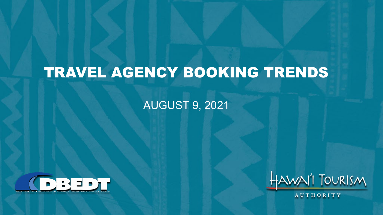# TRAVEL AGENCY BOOKING TRENDS

#### AUGUST 9, 2021





AUTHORITY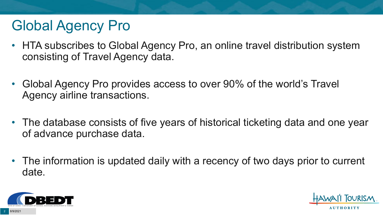# Global Agency Pro

- HTA subscribes to Global Agency Pro, an online travel distribution system consisting of Travel Agency data.
- Global Agency Pro provides access to over 90% of the world's Travel Agency airline transactions.
- The database consists of five years of historical ticketing data and one year of advance purchase data.
- The information is updated daily with a recency of two days prior to current date.



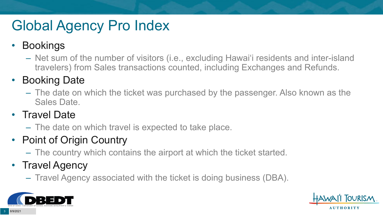# Global Agency Pro Index

### • Bookings

– Net sum of the number of visitors (i.e., excluding Hawai'i residents and inter-island travelers) from Sales transactions counted, including Exchanges and Refunds.

### • Booking Date

– The date on which the ticket was purchased by the passenger. Also known as the Sales Date.

### • Travel Date

– The date on which travel is expected to take place.

### • Point of Origin Country

– The country which contains the airport at which the ticket started.

### • Travel Agency

– Travel Agency associated with the ticket is doing business (DBA).



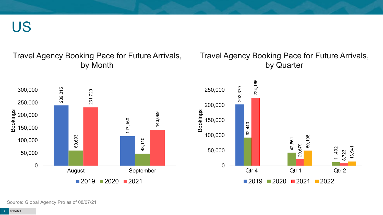US

#### Travel Agency Booking Pace for Future Arrivals, by Month

#### Travel Agency Booking Pace for Future Arrivals, by Quarter





Source: Global Agency Pro as of 08/07/21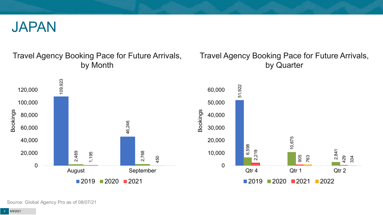

#### Travel Agency Booking Pace for Future Arrivals, by Month

#### Travel Agency Booking Pace for Future Arrivals, by Quarter





Source: Global Agency Pro as of 08/07/21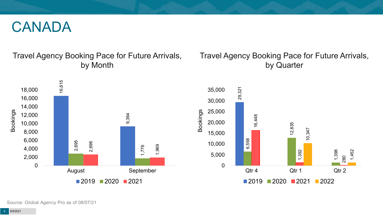### CANADA

#### Travel Agency Booking Pace for Future Arrivals, by Month

#### Travel Agency Booking Pace for Future Arrivals, by Quarter





Source: Global Agency Pro as of 08/07/21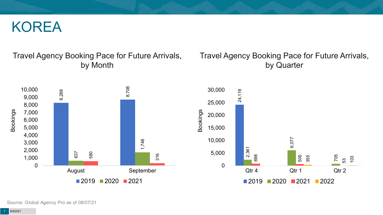### KOREA

#### Travel Agency Booking Pace for Future Arrivals, by Month

#### Travel Agency Booking Pace for Future Arrivals, by Quarter



Source: Global Agency Pro as of 08/07/21

8/9/2021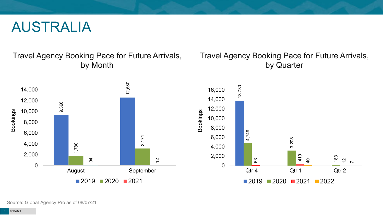### AUSTRALIA

Travel Agency Booking Pace for Future Arrivals, by Month



#### Travel Agency Booking Pace for Future Arrivals, by Quarter



Source: Global Agency Pro as of 08/07/21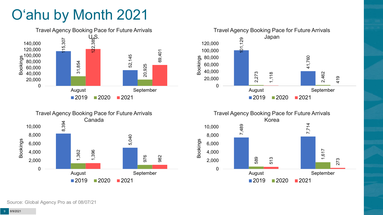# O'ahu by Month 2021









Source: Global Agency Pro as of 08/07/21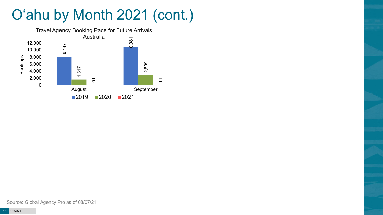# O'ahu by Month 2021 (cont.)

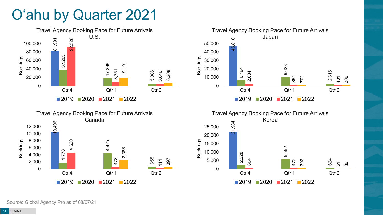# O'ahu by Quarter 2021







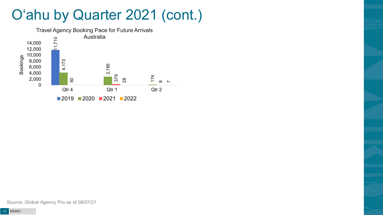## O'ahu by Quarter 2021 (cont.)

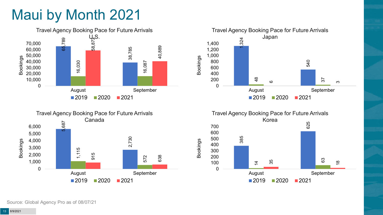# Maui by Month 2021







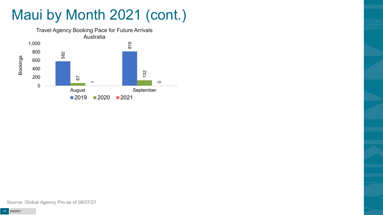# Maui by Month 2021 (cont.)

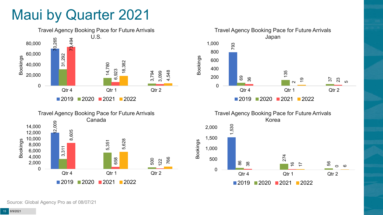## Maui by Quarter 2021







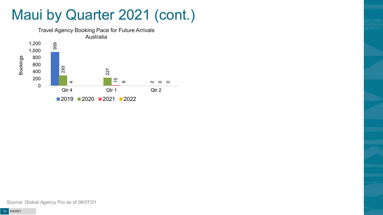## Maui by Quarter 2021 (cont.)

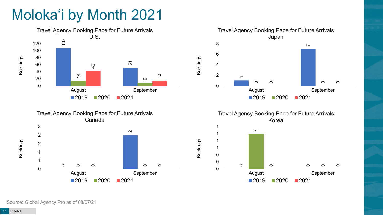# Moloka'i by Month 2021







Travel Agency Booking Pace for Future Arrivals Korea



Bookings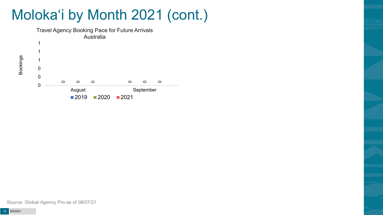# Moloka'i by Month 2021 (cont.)



Bookings

Source: Global Agency Pro as of 08/07/21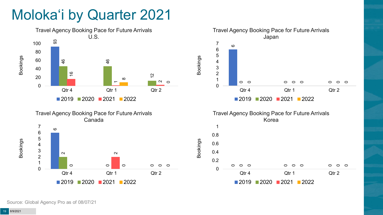# Moloka'i by Quarter 2021







2020 2021 2022

Qtr 4 Qtr 1 Qtr 2

0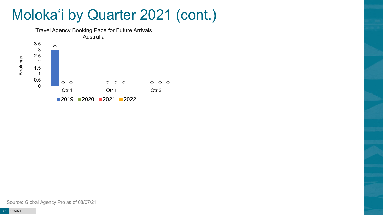# Moloka'i by Quarter 2021 (cont.)



Source: Global Agency Pro as of 08/07/21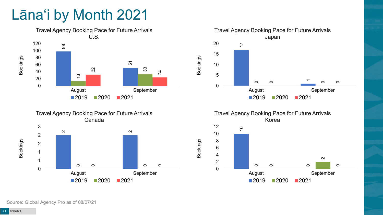# Lāna'i by Month 2021







Travel Agency Booking Pace for Future Arrivals Korea



Bookings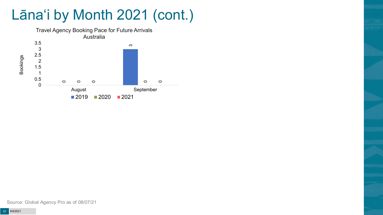# Lāna'i by Month 2021 (cont.)



Source: Global Agency Pro as of 08/07/21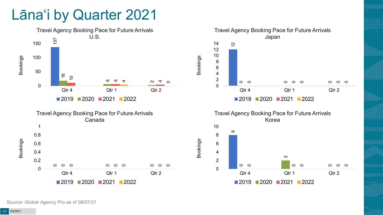## Lāna'i by Quarter 2021

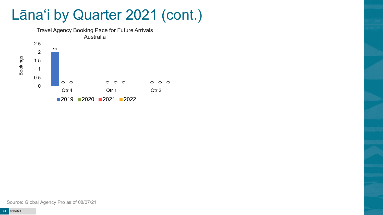## Lāna'i by Quarter 2021 (cont.)



Source: Global Agency Pro as of 08/07/21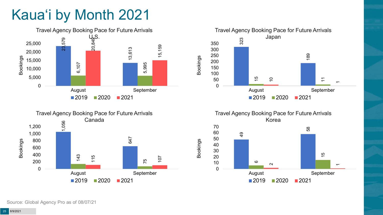# Kaua'i by Month 2021







Travel Agency Booking Pace for Future Arrivals Korea

Bookings

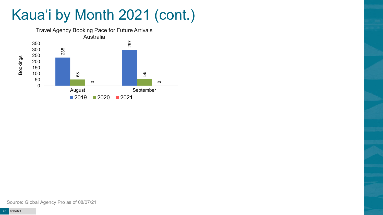# Kaua'i by Month 2021 (cont.)

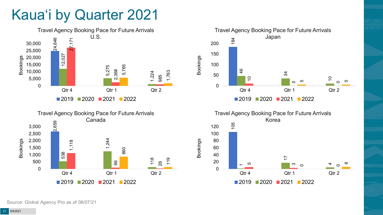# Kaua'i by Quarter 2021







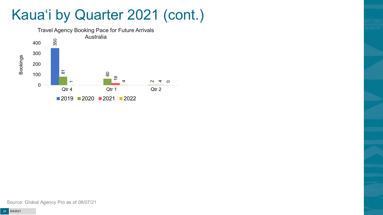## Kaua'i by Quarter 2021 (cont.)

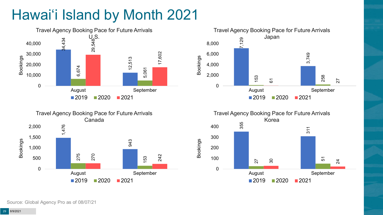# Hawai'i Island by Month 2021









Source: Global Agency Pro as of 08/07/21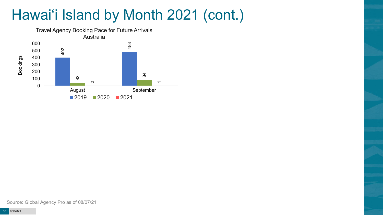# Hawai'i Island by Month 2021 (cont.)

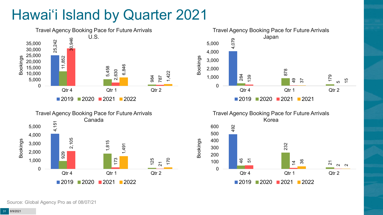# Hawai'i Island by Quarter 2021